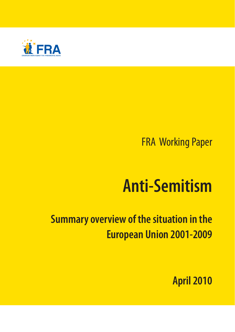

# FRA Working Paper

# **Anti-Semitism**

# **Summary overview of the situation in the European Union 2001-2009**

**April 2010**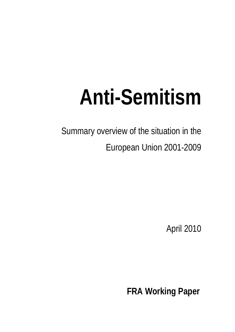# **Anti-Semitism**

Summary overview of the situation in the European Union 2001-2009

April 2010

**FRA Working Paper**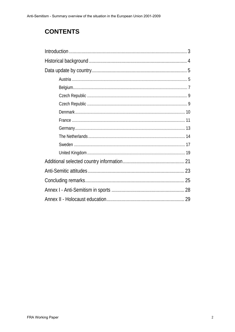# **CONTENTS**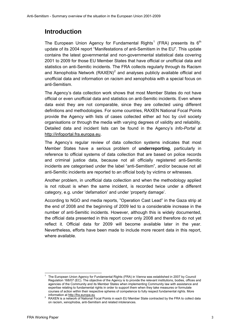# <span id="page-3-0"></span>**Introduction**

The European Union Agency for Fundamental Rights<sup>[1](#page-3-1)</sup> (FRA) presents its 6<sup>th</sup> update of its 2004 report "Manifestations of anti-Semitism in the EU". This update contains the latest governmental and non-governmental statistical data covering 2001 to 2009 for those EU Member States that have official or unofficial data and statistics on anti-Semitic incidents. The FRA collects regularly through its Racism and Xenophobia Network (RAXEN)<sup>[2](#page-3-2)</sup> and analyses publicly available official and unofficial data and information on racism and xenophobia with a special focus on anti-Semitism.

The Agency's data collection work shows that most Member States do not have official or even unofficial data and statistics on anti-Semitic incidents. Even where data exist they are not comparable, since they are collected using different definitions and methodologies. For some countries, RAXEN National Focal Points provide the Agency with lists of cases collected either ad hoc by civil society organisations or through the media with varying degrees of validity and reliability. Detailed data and incident lists can be found in the Agency's *Info-Portal* at [http://infoportal.fra.europa.eu.](http://infoportal.fra.europa.eu/)

The Agency's regular review of data collection systems indicates that most Member States have a serious problem of **underreporting**, particularly in reference to official systems of data collection that are based on police records and criminal justice data, because not all officially registered anti-Semitic incidents are categorised under the label "anti-Semitism", and/or because not all anti-Semitic incidents are reported to an official body by victims or witnesses.

Another problem, in unofficial data collection and when the methodology applied is not robust is when the same incident, is recorded twice under a different category, e.g. under 'defamation' and under 'property damage'.

According to NGO and media reports, "Operation Cast Lead" in the Gaza strip at the end of 2008 and the beginning of 2009 led to a considerable increase in the number of anti-Semitic incidents. However, although this is widely documented, the official data presented in this report cover only 2008 and therefore do not yet reflect it. Official data for 2009 will become available later in the year. Nevertheless, efforts have been made to include more recent data in this report, where available.

<span id="page-3-1"></span>l 1 The European Union Agency for Fundamental Rights (FRA) in Vienna was established in 2007 by Council Regulation 168/07 (EC). The objective of the Agency is to provide the relevant institutions, bodies, offices and agencies of the Community and its Member States when implementing Community law with assistance and expertise relating to fundamental rights in order to support them when they take measures or formulate courses of action within their respective spheres of competence to fully respect fundamental rights. More information at [http://fra.europa.eu](http://fra.europa.eu/)

<span id="page-3-2"></span>RAXEN is a network of National Focal Points in each EU Member State contracted by the FRA to collect data on racism, xenophobia, anti-Semitism and related intolerances.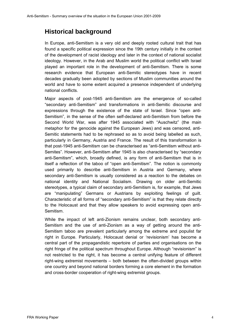# <span id="page-4-0"></span>**Historical background**

In Europe, anti-Semitism is a very old and deeply rooted cultural trait that has found a specific political expression since the 19th century initially in the context of the development of racist ideology and later in the context of national socialist ideology. However, in the Arab and Muslim world the political conflict with Israel played an important role in the development of anti-Semitism. There is some research evidence that European anti-Semitic stereotypes have in recent decades gradually been adopted by sections of Muslim communities around the world and have to some extent acquired a presence independent of underlying national conflicts.

Major aspects of post-1945 anti-Semitism are the emergence of so-called "secondary anti-Semitism" and transformations in anti-Semitic discourse and expressions through the existence of the state of Israel. Since "open anti-Semitism", in the sense of the often self-declared anti-Semitism from before the Second World War, was after 1945 associated with "Auschwitz" (the main metaphor for the genocide against the European Jews) and was censored, anti-Semitic statements had to be rephrased so as to avoid being labelled as such, particularly in Germany, Austria and France. The result of this transformation is that post-1945 anti-Semitism can be characterised as "anti-Semitism without anti-Semites". However, anti-Semitism after 1945 is also characterised by "secondary anti-Semitism", which, broadly defined, is any form of anti-Semitism that is in itself a reflection of the taboo of "open anti-Semitism". The notion is commonly used primarily to describe anti-Semitism in Austria and Germany, where secondary anti-Semitism is usually considered as a reaction to the debates on national identity and National Socialism. Drawing on older anti-Semitic stereotypes, a typical claim of secondary anti-Semitism is, for example, that Jews are "manipulating" Germans or Austrians by exploiting feelings of guilt. Characteristic of all forms of "secondary anti-Semitism" is that they relate directly to the Holocaust and that they allow speakers to avoid expressing open anti-Semitism.

While the impact of left anti-Zionism remains unclear, both secondary anti-Semitism and the use of anti-Zionism as a way of getting around the anti-Semitism taboo are prevalent particularly among the extreme and populist far right in Europe. Particularly, Holocaust denial or 'revisionism' has become a central part of the propagandistic repertoire of parties and organisations on the right fringe of the political spectrum throughout Europe. Although "revisionism" is not restricted to the right, it has become a central unifying feature of different right-wing extremist movements – both between the often-divided groups within one country and beyond national borders forming a core element in the formation and cross-border cooperation of right-wing extremist groups.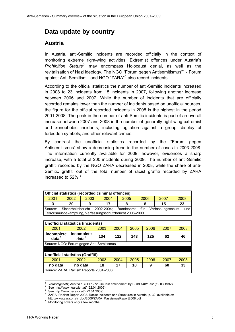# <span id="page-5-0"></span>**Data update by country**

#### <span id="page-5-1"></span>**Austria**

In Austria, anti-Semitic incidents are recorded officially in the context of monitoring extreme right-wing activities. Extremist offences under Austria's *Prohibition Statute*[3](#page-5-2) may encompass Holocaust denial, as well as the revitalisation of Nazi ideology. The NGO "Forum gegen Antisemitismus"<sup>[4](#page-5-3)</sup> - Forum against Anti-Semitism - and NGO "ZARA"<sup>[5](#page-5-4)</sup> also record incidents.

According to the official statistics the number of anti-Semitic incidents increased in 2008 to 23 incidents from 15 incidents in 2007, following another increase between 2006 and 2007. While the number of incidents that are officially recorded remains lower than the number of incidents based on unofficial sources, the figure for the official recorded incidents in 2008 is the highest in the period 2001-2008. The peak in the number of anti-Semitic incidents is part of an overall increase between 2007 and 2008 in the number of generally right-wing extremist and xenophobic incidents, including agitation against a group, display of forbidden symbols, and other relevant crimes.

By contrast the unofficial statistics recorded by the "Forum gegen Antisemitismus" show a decreasing trend in the number of cases in 2003-2008. The information currently available for 2009, however, evidences a sharp increase, with a total of 200 incidents during 2009. The number of anti-Semitic graffiti recorded by the NGO ZARA decreased in 2008, while the share of anti-Semitic graffiti out of the total number of racist graffiti recorded by ZARA increased to  $52\%$ <sup>[6](#page-5-5)</sup>

| Official statistics (recorded criminal offences)                                        |                                                           |      |      |      |          |      |      |  |  |
|-----------------------------------------------------------------------------------------|-----------------------------------------------------------|------|------|------|----------|------|------|--|--|
| 2001                                                                                    | 2002                                                      | 2003 | 2004 | 2005 | 2006     | 2007 | 2008 |  |  |
| 3                                                                                       | 20                                                        |      | 17   |      | 23<br>15 |      |      |  |  |
| und<br>Sicherheitsbericht 2002-2004; Bundesamt<br>Verfassungsschutz<br>für<br>l Source: |                                                           |      |      |      |          |      |      |  |  |
|                                                                                         | Terrorismusbekämpfung, Verfassungsschutzbericht 2006-2009 |      |      |      |          |      |      |  |  |

|                                          | <b>Unofficial statistics (incidents)</b> |      |      |      |      |      |      |  |  |
|------------------------------------------|------------------------------------------|------|------|------|------|------|------|--|--|
|                                          |                                          |      |      |      |      |      |      |  |  |
| 2001                                     | 2002                                     | 2003 | 2004 | 2005 | 2006 | 2007 | 2008 |  |  |
| incomplete<br>data                       | incomplete<br>data <sup>9</sup>          | 134  | 122  | 143  | 125  | 62   | 46   |  |  |
| Source: NGO: Forum gegen Anti-Semitismus |                                          |      |      |      |      |      |      |  |  |
|                                          |                                          |      |      |      |      |      |      |  |  |
|                                          | <b>Unofficial statistics (Graffiti)</b>  |      |      |      |      |      |      |  |  |
| 2001                                     | 2002                                     | 2003 | 2004 | 2005 | 2006 | 2007 | 2008 |  |  |
| no data                                  | no data                                  | 18   | 17   | 10   | 9    | 60   | 33   |  |  |
|                                          | Source: ZARA, Racism Reports 2004-2008   |      |      |      |      |      |      |  |  |

<sup>3</sup> Verbotsgesetz, Austria / BGBI 127/1945 last amendment by BGBI 148/1992 (19.03.1992)

<span id="page-5-2"></span>See <http://www.fga-wien.at/>(22.01.2009)

<span id="page-5-5"></span><span id="page-5-4"></span><span id="page-5-3"></span>See <http://www.zara.or.at/> (22.01.2009)

<sup>&</sup>lt;sup>6</sup> ZARA, Racism Report 2008, Racist Incidents and Structures in Austria, p. 32, available at:

http://www.zara.or.at/\_doc/2009/ZARA\_RassismusReport2008.pdf

<span id="page-5-6"></span>Monitoring covers only a few months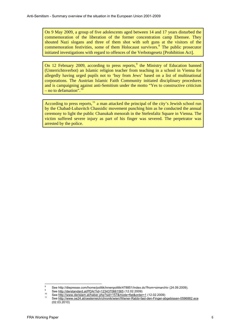On 9 May 2009, a group of five adolescents aged between 14 and 17 years disturbed the commemoration of the liberation of the former concentration camp Ebensee. They shouted Nazi slogans and three of them shot with soft guns at the visitors of the commemoration festivities, some of them Holocaust survivors.<sup>[8](#page-6-0)</sup> The public prosecutor initiated investigations with regard to offences of the Verbotsgesetz [Prohibition Act].

On 12 February 200[9](#page-6-1), according to press reports,  $9$  the Ministry of Education banned (Unterrichtsverbot) an Islamic religion teacher from teaching in a school in Vienna for allegedly having urged pupils not to 'buy from Jews' based on a list of multinational corporations. The Austrian Islamic Faith Community initiated disciplinary procedures and is campaigning against anti-Semitism under the motto "Yes to constructive criticism – no to defamation". $^{10}$  $^{10}$  $^{10}$ 

According to press reports, $^{11}$  $^{11}$  $^{11}$  a man attacked the principal of the city's Jewish school run by the Chabad-Lubavitch Chassidic movement punching him as he conducted the annual ceremony to light the public Chanukah menorah in the Stefenfaltz Square in Vienna. The victim suffered severe injury as part of his finger was severed. The perpetrator was arrested by the police.

<span id="page-6-0"></span> $\frac{1}{8}$ See http://diepresse.com/home/politik/innenpolitik/478851/index.do?from=simarchiv (24.09.2009).<br>
See http://derstandard.at/PDA/?id=1234370661565 (12.02.2009)

<span id="page-6-3"></span><span id="page-6-2"></span><span id="page-6-1"></span>See <http://www.derislam.at/haber.php?sid=157&mode=flat&order=1> (12.02.2009)<br><sup>11</sup> See http://www.derislam.at/haber.php?sid=157&mode=flat&order=1 (12.02.2009) (02.03.2010)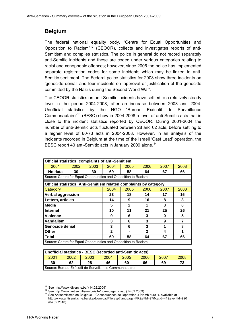## **Belgium**

The federal national equality body, "Centre for Equal Opportunities and Opposition to Racism"[12](#page-7-1) (CEOOR), collects and investigates reports of anti-Semitism and compiles statistics. The police in general do not record separately anti-Semitic incidents and these are coded under various categories relating to racist and xenophobic offences; however, since 2006 the police has implemented separate registration codes for some incidents which may be linked to anti-Semitic sentiment. The Federal police statistics for 2008 show three incidents on 'genocide denial' and four incidents on 'approval or justification of the genocide committed by the Nazi's during the Second World War'.

The CEOOR statistics on anti-Semitic incidents have settled to a relatively steady level in the period 2004-2008, after an increase between 2003 and 2004. Unofficial statistics by the NGO "Bureau Exécutif de Surveillance Communautaire"[13](#page-7-2) (BESC) show in 2004-2008 a level of anti-Semitic acts that is close to the incident statistics reported by CEOOR. During 2001-2004 the number of anti-Semitic acts fluctuated between 28 and 62 acts, before settling to a higher level of 60-73 acts in 2004-2008. However, in an analysis of the incidents recorded in Belgium at the time of the Israeli 'Cast Lead' operation, the BESC report 40 anti-Semitic acts in January 2009 alone.<sup>[14](#page-7-3)</sup>

<span id="page-7-0"></span>

| <b>Official statistics: complaints of anti-Semitism</b>           |      |      |              |      |      |      |          |  |  |
|-------------------------------------------------------------------|------|------|--------------|------|------|------|----------|--|--|
| 2001                                                              | 2002 | 2003 | 2004         | 2005 | 2006 | 2007 | 2008     |  |  |
| No data                                                           | 30   | 30   | 69           | 58   | 64   | 67   | 66       |  |  |
| Source: Centre for Equal Opportunities and Opposition to Racism   |      |      |              |      |      |      |          |  |  |
| Official statistics: Anti-Semitism related complaints by category |      |      |              |      |      |      |          |  |  |
| Category                                                          |      |      | 2004         | 2005 | 2006 | 2007 | 2008     |  |  |
| <b>Verbal aggression</b>                                          |      |      | 23           | 18   | 14   | 17   | 16       |  |  |
| Letters, articles                                                 |      |      | 14           | 9    | 16   | 8    | 3        |  |  |
| Media                                                             |      |      | 5            | 2    | 1    | 3    | $\bf{0}$ |  |  |
| <b>Internet</b>                                                   |      |      | 10           | 11   | 21   | 25   | 26       |  |  |
| <b>Violence</b>                                                   |      |      | 9            | 6    | 3    | 0    | 5        |  |  |
| Vandalism                                                         |      |      | 3            | 6    | 3    | 9    | 7        |  |  |
| Genocide denial                                                   |      |      | 3            | 6    | 3    |      | 8        |  |  |
| Other                                                             |      |      | $\mathbf{2}$ |      | 3    | 4    | 1        |  |  |
| Total                                                             |      |      | 69           | 58   | 64   | 67   | 66       |  |  |
| Source: Centre for Equal Opportunities and Opposition to Racism   |      |      |              |      |      |      |          |  |  |

| Unofficial statistics - BESC (recorded anti-Semitic acts)    |                                        |  |  |  |  |  |  |  |  |
|--------------------------------------------------------------|----------------------------------------|--|--|--|--|--|--|--|--|
| 2001<br>2007<br>2008<br>2006<br>2004<br>2002<br>2003<br>2005 |                                        |  |  |  |  |  |  |  |  |
| 30                                                           | 73<br>28<br>66<br>46<br>62<br>60<br>69 |  |  |  |  |  |  |  |  |
| Source: Bureau Exécutif de Surveillance Communautaire        |                                        |  |  |  |  |  |  |  |  |

<span id="page-7-2"></span><span id="page-7-1"></span><sup>&</sup>lt;sup>12</sup> See http://www.diversite.be/ (14.02.2009)

<span id="page-7-3"></span>

<sup>13</sup> See [http://www.antisemitisme.be/site/homepage\\_fr.asp](http://www.antisemitisme.be/site/homepage_fr.asp) (14.02.2009)<br>
<sup>14</sup> See http://www.antisemitisme.be/site/homepage\_fr.asp (14.02.2009)<br>
<sup>14</sup> See Antisémitisme en Belgique – Conséquences de l'opération « Plomb durci » <http://www.antisemitisme.be/site/downloadFile.asp?language=FR&attId=97&catId=41&eventId=920> (04.02.2010)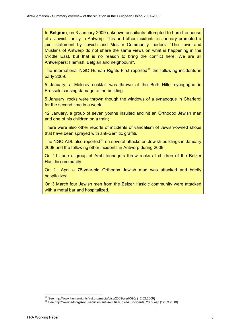In **Belgium**, on 3 January 2009 unknown assailants attempted to burn the house of a Jewish family in Antwerp. This and other incidents in January prompted a joint statement by Jewish and Muslim Community leaders: "The Jews and Muslims of Antwerp do not share the same views on what is happening in the Middle East, but that is no reason to bring the conflict here. We are all Antwerpers: Flemish, Belgian and neighbours".

The international NGO Human Rights First reported<sup>[15](#page-8-0)</sup> the following incidents in early 2009:

5 January, a Molotov cocktail was thrown at the Beth Hillel synagogue in Brussels causing damage to the building;

5 January, rocks were thrown though the windows of a synagogue in Charleroi for the second time in a week.

12 January, a group of seven youths insulted and hit an Orthodox Jewish man and one of his children on a train;

There were also other reports of incidents of vandalism of Jewish-owned shops that have been sprayed with anti-Semitic graffiti.

The NGO ADL also reported<sup>[16](#page-8-1)</sup> on several attacks on Jewish buildings in January 2009 and the following other incidents in Antwerp during 2009:

On 11 June a group of Arab teenagers threw rocks at children of the Belzer Hasidic community.

On 21 April a 78-year-old Orthodox Jewish man was attacked and briefly hospitalized.

On 3 March four Jewish men from the Belzer Hasidic community were attacked with a metal bar and hospitalized.

<span id="page-8-1"></span><span id="page-8-0"></span>l

<sup>&</sup>lt;sup>15</sup> See <u><http://www.humanrightsfirst.org/media/disc/2009/alert/390/></u> (12.02.2009)<br><sup>16</sup> See <u>[http://www.adl.org/Anti\\_semitism/anti-semitism\\_global\\_incidents\\_2009.asp](http://www.adl.org/Anti_semitism/anti-semitism_global_incidents_2009.asp)</u> (12.03.2010)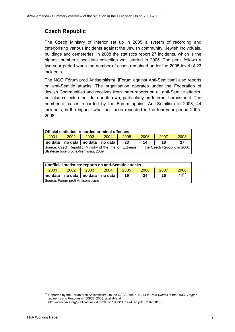# **Czech Republic**

The Czech Ministry of Interior set up in 2005 a system of recording and categorising various incidents against the Jewish community, Jewish individuals, buildings and cemeteries. In 2008 the statistics report 27 incidents, which is the highest number since data collection was started in 2005. The peak follows a two-year period when the number of cases remained under the 2005 level of 23 incidents.

The NGO Fórum proti Antisemitismu [Forum against Anti-Semitism] also reports on anti-Semitic attacks. The organisation operates under the Federation of Jewish Communities and receives from them reports on all anti-Semitic attacks, but also collects other data on its own, particularly on Internet harassment. The number of cases recorded by the Forum against Anti-Semitism in 2008, 44 incidents, is the highest what has been recorded in the four-year period 2005- 2008.

| Official statistics: recorded criminal offences                                                                                     |                                                         |  |  |  |  |  |  |  |  |
|-------------------------------------------------------------------------------------------------------------------------------------|---------------------------------------------------------|--|--|--|--|--|--|--|--|
| 2008<br>2001<br>2007<br>2006<br>2004<br>2005<br>2002<br>2003                                                                        |                                                         |  |  |  |  |  |  |  |  |
| no data                                                                                                                             | no data<br>no data<br>23<br>no data  <br>27<br>18<br>14 |  |  |  |  |  |  |  |  |
| Source: Czech Republic, Ministry of the Interior, Extremism in the Czech Republic in 2006.<br>Strategie boje proti extremismu, 2009 |                                                         |  |  |  |  |  |  |  |  |

<span id="page-9-0"></span>

| Unofficial statistics: reports on anti-Semitic attacks |                                                                           |  |  |  |  |  |  |  |  |
|--------------------------------------------------------|---------------------------------------------------------------------------|--|--|--|--|--|--|--|--|
| 2001                                                   | 2007<br>2008<br>2004<br>2006<br>2005<br>2002<br>2003                      |  |  |  |  |  |  |  |  |
|                                                        | $44^{17}$<br>no data   no data   no data<br>26<br>l no data l<br>19<br>34 |  |  |  |  |  |  |  |  |
|                                                        | Source: Fórum proti Antisemitismu                                         |  |  |  |  |  |  |  |  |

<span id="page-9-1"></span> $17$ 17 Reported by the Fórum proti Antisemitismu to the OSCE, see p. 43-44 in *Hate Crimes in the OSCE Region – Incidents and Responses*. OSCE, 2008, available at [http://www.osce.org/publications/odihr/2009/11/41314\\_1424\\_en.pdf](http://www.osce.org/publications/odihr/2009/11/41314_1424_en.pdf) (09.02.2010)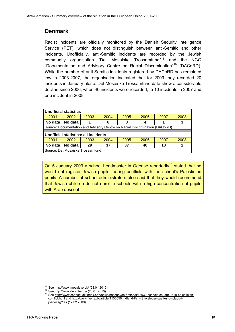## **Denmark**

Racist incidents are officially monitored by the Danish Security Intelligence Service (PET), which does not distinguish between anti-Semitic and other incidents. Unofficially, anti-Semitic incidents are recorded by the Jewish community organisation "Det Mosaiske Trossamfund"[18](#page-10-1) and the NGO "Documentation and Advisory Centre on Racial Discrimination"[19](#page-10-2) (DACoRD). While the number of anti-Semitic incidents registered by DACoRD has remained low in 2003-2007, the organisation indicated that for 2009 they recorded 20 incidents in January alone. Det Mosaiske Trossamfund data show a considerable decline since 2006, when 40 incidents were recorded, to 10 incidents in 2007 and one incident in 2008.

| <b>Unofficial statistics</b>                                                |                                             |      |      |      |      |      |      |  |  |  |
|-----------------------------------------------------------------------------|---------------------------------------------|------|------|------|------|------|------|--|--|--|
| 2001                                                                        | 2002                                        | 2003 | 2004 | 2005 | 2006 | 2007 | 2008 |  |  |  |
| No data                                                                     | No data                                     |      | 6    | 3    |      |      | 3    |  |  |  |
| Source: Documentation and Advisory Centre on Racial Discrimination (DACoRD) |                                             |      |      |      |      |      |      |  |  |  |
|                                                                             |                                             |      |      |      |      |      |      |  |  |  |
|                                                                             | <b>Unofficial statistics: all incidents</b> |      |      |      |      |      |      |  |  |  |
| 2001                                                                        | 2002                                        | 2003 | 2004 | 2005 | 2006 | 2007 | 2008 |  |  |  |
| No data                                                                     | No data                                     | 29   | 37   | 37   | 40   | 10   |      |  |  |  |
| Source: Det Mosaiske Trossamfund                                            |                                             |      |      |      |      |      |      |  |  |  |

<span id="page-10-0"></span>On 5 January [20](#page-10-3)09 a school headmaster in Odense reportedly<sup>20</sup> stated that he would not register Jewish pupils fearing conflicts with the school's Palestinian pupils. A number of school administrators also said that they would recommend that Jewish children do not enrol in schools with a high concentration of pupils with Arab descent.

 $\overline{a}$ 

<span id="page-10-3"></span>

<span id="page-10-2"></span><span id="page-10-1"></span><sup>&</sup>lt;sup>18</sup> See http://www.mosaiske.dk/ (28.01.2010)<br><sup>19</sup> See <u>http://www.drcenter.dk/</u> (28.01.2010)<br><sup>20</sup> See <u>http://www.cphpost.dk/index.php/news/national/88-national/43930-schools-caught-up-in-palestinian-</u> [conflict.html](http://www.cphpost.dk/index.php/news/national/88-national/43930-schools-caught-up-in-palestinian-conflict.html) and [http://www.fyens.dk/article/1155056:Indland-Fyn--Skoleleder-saettes-p--plads-i](http://www.fyens.dk/article/1155056:Indland-Fyn--Skoleleder-saettes-p--plads-i-joedesag?rss%20)[joedesag?rss](http://www.fyens.dk/article/1155056:Indland-Fyn--Skoleleder-saettes-p--plads-i-joedesag?rss%20) (12.02.2009)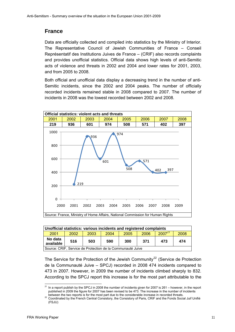### **France**

Data are officially collected and compiled into statistics by the Ministry of Interior. The Representative Council of Jewish Communities of France – Conseil Représentatif des Institutions Juives de France – (CRIF) also records complaints and provides unofficial statistics. Official data shows high levels of anti-Semitic acts of violence and threats in 2002 and 2004 and lower rates for 2001, 2003, and from 2005 to 2008.

Both official and unofficial data display a decreasing trend in the number of anti-Semitic incidents, since the 2002 and 2004 peaks. The number of officially recorded incidents remained stable in 2008 compared to 2007. The number of incidents in 2008 was the lowest recorded between 2002 and 2008.



<span id="page-11-0"></span>

| Unofficial statistics: various incidents and registered complaints |                                               |      |      |      |      |             |      |  |  |  |
|--------------------------------------------------------------------|-----------------------------------------------|------|------|------|------|-------------|------|--|--|--|
| 2001                                                               | 2002                                          | 2003 | 2004 | 2005 | 2006 | $2007^{21}$ | 2008 |  |  |  |
| No data<br>available                                               | 516<br>371<br>473<br>503<br>590<br>474<br>300 |      |      |      |      |             |      |  |  |  |
| Source: CRIF, Service de Protection de la Communauté Juive         |                                               |      |      |      |      |             |      |  |  |  |

The Service for the Protection of the Jewish Community<sup>[22](#page-11-2)</sup> (Service de Protection de la Communauté Juive – SPCJ) recorded in 2008 474 incidents compared to 473 in 2007. However, in 2009 the number of incidents climbed sharply to 832. According to the SPCJ report this increase is for the most part attributable to the

<span id="page-11-1"></span> $\overline{21}$ In a report publish by the SPCJ in 2008 the number of incidents given for 2007 is 261 – however, in the report published in 2009 the figure for 2007 has been revised to be 473. The increase in the number of incidents between the two reports is for the most part due to the considerable increase in recorded threats.

<span id="page-11-2"></span>between the two reports is for the most part due to the considerable increase in recorded threats. 22 Coordinated by the French Central Consistory, the Consistory of Paris, CRIF and the Fonds Social Juif Unifié (FSJU)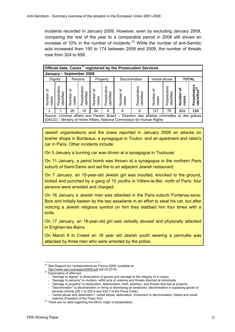incidents recorded in January 2009. However, even by excluding January 2009, comparing the rest of the year to a comparable period in 2008 still shows an increase of 10% in the number of incidents.<sup>[23](#page-12-0)</sup> While the number of anti-Semitic acts increased from 150 to 174 between 2008 and 2009, the number of threats rose from 324 to 658.

|                                                                                         | Official data: Cases <sup>24</sup> registered by the Prosecution Services |                                                                                                                                                                                                                                                                                            |    |    |   |   |                                                                                                                                                                           |     |    |     |     |
|-----------------------------------------------------------------------------------------|---------------------------------------------------------------------------|--------------------------------------------------------------------------------------------------------------------------------------------------------------------------------------------------------------------------------------------------------------------------------------------|----|----|---|---|---------------------------------------------------------------------------------------------------------------------------------------------------------------------------|-----|----|-----|-----|
|                                                                                         | January - September 2008                                                  |                                                                                                                                                                                                                                                                                            |    |    |   |   |                                                                                                                                                                           |     |    |     |     |
| <b>TOTAL</b><br><b>Discrimination</b><br>Verbal abuse<br>Dignity<br>Persons<br>Property |                                                                           |                                                                                                                                                                                                                                                                                            |    |    |   |   |                                                                                                                                                                           |     |    |     |     |
| đ<br>Number<br>cases                                                                    | Perpetrators<br>identified                                                | Perpetrators<br>identified <sup>25</sup><br>Perpetrators<br>Perpetrators<br>Perpetrators<br>Perpetrators<br>৳<br>Number of<br>৳<br>đ<br>Number of<br>identified<br>identified<br>identified<br>dentified<br>Number<br>Number<br>Number<br>n<br>ses<br>cases<br>cases<br>cases<br>case<br>Ë |    |    |   |   |                                                                                                                                                                           |     |    |     |     |
| 2                                                                                       |                                                                           | 26                                                                                                                                                                                                                                                                                         | 18 | 54 | 9 | 8 | 6                                                                                                                                                                         | 121 | 76 | 211 | 110 |
|                                                                                         |                                                                           |                                                                                                                                                                                                                                                                                            |    |    |   |   | Source: Criminal affairs and Pardon Board - Direction des affaires criminelles et des grâces<br>l (DACG) – Ministry of Home Affairs. National Commission for Human Rights |     |    |     |     |

Jewish organisations and the press reported in January 2009 on attacks on kosher shops in Bordeaux, a synagogue in Toulon, and an apartment and rabbi's car in Paris. Other incidents include:

On 5 January a burning car was driven at a synagogue in Toulouse;

On 11 January, a petrol bomb was thrown at a synagogue in the northern Paris suburb of Saint-Denis and set fire to an adjacent Jewish restaurant;

On 7 January, an 15-year-old Jewish girl was insulted, knocked to the ground, kicked and punched by a gang of 10 youths in Villiers-le-Bel, north of Paris; four persons were arrested and charged;

On 16 January a Jewish man was attacked in the Paris suburb Fontenay-sous-Bois and initially beaten by the two assailants in an effort to steal his car, but after noticing a Jewish religious symbol on him they stabbed him four times with a knife.

On 17 January, an 18-year-old girl was verbally abused and physically attacked in Enghien-les-Bains.

On March 9 in Creteil an 18 year old Jewish youth wearing a yarmulke was attacked by three men who were arrested by the police.

l

<span id="page-12-1"></span><span id="page-12-0"></span> $^{23}$  See Rapport sur l'antisémitisme en France 2009, available at

<http://www.spcj.org/rapport2009.pdf>(04.02.2010)<br>Explanation of offences:

<sup>- &</sup>quot;damage to dignity" is desecration of graves and damage to the integrity of a corpse

<sup>- &</sup>quot;damage to persons" is murders, wilful acts of violence and threats directed at individuals

<sup>- &</sup>quot;damage to property" is destruction, deterioration, theft, extortion, and threats directed at property

<sup>- &</sup>quot;discrimination" is discrimination in hiring or dismissing an employee, discrimination in supplying goods or services (Article 225-1 to 225-4 and 432-7 of the Penal Code)

<sup>- &</sup>quot;verbal abuse and defamation": verbal abuse, defamation, incitement to discrimination, hatred and racial violence (Freedom of the Press Act).<br><sup>25</sup> There are no data regarding the ethnic origin of perpetrators.

<span id="page-12-2"></span>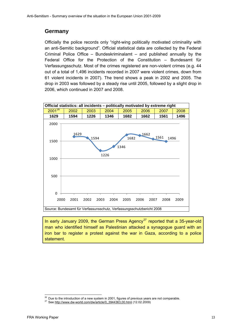#### <span id="page-13-0"></span>**Germany**

Officially the police records only "right-wing politically motivated criminality with an anti-Semitic background". Official statistical data are collected by the Federal Criminal Police Office – Bundeskriminalamt – and published annually by the Federal Office for the Protection of the Constitution – Bundesamt für Verfassungsschutz. Most of the crimes registered are non-violent crimes (e.g. 44 out of a total of 1,496 incidents recorded in 2007 were violent crimes, down from 61 violent incidents in 2007). The trend shows a peak in 2002 and 2005. The drop in 2003 was followed by a steady rise until 2005, followed by a slight drop in 2006, which continued in 2007 and 2008.



In early January 2009, the German Press Agency<sup>[27](#page-13-2)</sup> reported that a 35-year-old man who identified himself as Palestinian attacked a synagogue guard with an iron bar to register a protest against the war in Gaza, according to a police statement.

<span id="page-13-1"></span>l <sup>26</sup> Due [to the introduction of a new system in 2001, figures of p](http://www.dw-world.com/dw/article/0,,3944363,00.html)revious years are not comparable.<br><sup>27</sup> See <u><http://www.dw-world.com/dw/article/0,,3944363,00.html></u> (12.02.2009)

<span id="page-13-2"></span>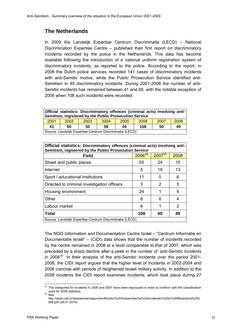### **The Netherlands**

In 2009 the Landelijk Expertise Centrum Discriminatie (LECD) – National Discrimination Expertise Centre – published their first report on discriminatory incidents recorded by the police in the Netherlands. This data has become available following the introduction of a national uniform registration system of discriminatory incidents, as reported to the police. According to the report, in 2008 the Dutch police services recorded 141 cases of discriminatory incidents with anti-Semitic motive, while the Public Prosecution Service identified anti-Semitism in 49 discriminatory incidents. During 2001-2008 the number of anti-Semitic incidents has remained between 41 and 65, with the notable exception of 2006 when 108 such incidents were recorded.

| Official statistics: Discriminatory offences (criminal acts) involving anti-<br>Semitism, registered by the Public Prosecution Service |                                                          |      |                                      |  |  |  |  |  |  |  |
|----------------------------------------------------------------------------------------------------------------------------------------|----------------------------------------------------------|------|--------------------------------------|--|--|--|--|--|--|--|
| 2001                                                                                                                                   | 2002                                                     | 2003 | 2008<br>2007<br>2004<br>2005<br>2006 |  |  |  |  |  |  |  |
| 41                                                                                                                                     | 58<br>50<br>108<br>50<br>49<br>65<br>60                  |      |                                      |  |  |  |  |  |  |  |
|                                                                                                                                        | Source: Landelijk Expertise Centrum Discriminatie (LECD) |      |                                      |  |  |  |  |  |  |  |

| Official statistics: Discriminatory offences (criminal acts) involving anti-<br>Semitism, registered by the Public Prosecution Service |                    |        |      |  |  |  |  |  |
|----------------------------------------------------------------------------------------------------------------------------------------|--------------------|--------|------|--|--|--|--|--|
| <b>Field</b>                                                                                                                           | 2006 <sup>28</sup> | 200733 | 2008 |  |  |  |  |  |
| Street and public places                                                                                                               | 55                 | 24     | 15   |  |  |  |  |  |
| Internet                                                                                                                               | 5                  | 16     | 13   |  |  |  |  |  |
| Sport / educational institutions                                                                                                       | 11                 |        | 6    |  |  |  |  |  |
| Directed to criminal investigation officers                                                                                            | 3                  | 2      | 5    |  |  |  |  |  |
| Housing environment                                                                                                                    | 24                 |        | 4    |  |  |  |  |  |
| Other                                                                                                                                  | 6                  | 6      | 4    |  |  |  |  |  |
| Labour market                                                                                                                          | 4                  |        | 2    |  |  |  |  |  |
| <b>Total</b>                                                                                                                           | 108                | 50     | 49   |  |  |  |  |  |
| Source: Landelijk Expertise Centrum Discriminatie (LECD)                                                                               |                    |        |      |  |  |  |  |  |

<span id="page-14-0"></span>The NGO Information and Documentation Centre Israel – "Centrum Informatie en Documentatie Israël" – (CIDI) data shows that the number of incidents recorded by the centre remained in 2008 at a level comparable to that of 2007, which was preceded by a sharp decline after a peek in the number of anti-Semitic incidents in 2006<sup>[29](#page-14-2)</sup>. In their analysis of the anti-Semitic incidents over the period 2001-2008, the CIDI report argues that the higher level of incidents in 2002-2004 and 2006 coincide with periods of heightened Israeli military activity. In addition to the 2008 incidents the CIDI report examines incidents, which took place during 27

<span id="page-14-2"></span><span id="page-14-1"></span>l  $^{28}$  The categories for incidents in 2006 and 2007 have been regrouped in order to conform with the classification used for  $\frac{2008}{12}$  statistics.

http://www.cidi.nl/dossiers/an/rapporten/Monitor%20Antisemitische%20incidenten%20in%20Nederland%202 008.pdf (28.01.2010)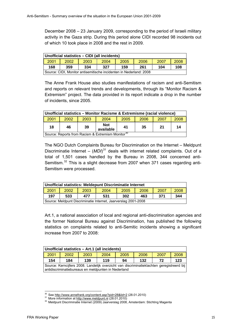December 2008 – 23 January 2009, corresponding to the period of Israeli military activity in the Gaza strip. During this period alone CIDI recorded 98 incidents out of which 10 took place in 2008 and the rest in 2009.

| Unofficial statistics – CIDI (all incidents)                       |                                              |  |  |  |  |  |  |  |  |
|--------------------------------------------------------------------|----------------------------------------------|--|--|--|--|--|--|--|--|
| 2001                                                               | 2002<br>2004<br>2006<br>2005<br>2003<br>2007 |  |  |  |  |  |  |  |  |
| 168<br>334<br>359<br>327<br>159<br>108<br>261<br>104               |                                              |  |  |  |  |  |  |  |  |
| Source: CIDI, Monitor antisemitische incidenten in Nederland: 2008 |                                              |  |  |  |  |  |  |  |  |

The Anne Frank House also studies manifestations of racism and anti-Semitism and reports on relevant trends and developments, through its "Monitor Racism & Extremism" project. The data provided in its report indicate a drop in the number of incidents, since 2005.

| Unofficial statistics - Monitor Racisme & Extremisme (racial violence) |                                                      |    |                         |    |     |    |    |  |  |  |
|------------------------------------------------------------------------|------------------------------------------------------|----|-------------------------|----|-----|----|----|--|--|--|
| 2001                                                                   | 2003<br>2004<br>2002<br>2008<br>2005<br>2007<br>2006 |    |                         |    |     |    |    |  |  |  |
| 18                                                                     | 46                                                   | 39 | <b>Not</b><br>available | 41 | -35 | 21 | 14 |  |  |  |
| Source: Reports from Racism & Extremism Monitor <sup>30</sup>          |                                                      |    |                         |    |     |    |    |  |  |  |

The NGO Dutch Complaints Bureau for Discrimination on the Internet – Meldpunt Discriminatie Internet – (MDI)<sup>[31](#page-15-1)</sup> deals with internet related complaints. Out of a total of 1,501 cases handled by the Bureau in 2008, 344 concerned anti-Semitism.<sup>[32](#page-15-2)</sup> This is a slight decrease from 2007 when 371 cases regarding anti-Semitism were processed.

| Unofficial statistics: Meldepunt Discriminatie Internet        |  |  |  |  |  |  |  |  |  |
|----------------------------------------------------------------|--|--|--|--|--|--|--|--|--|
| 2001<br>2002<br>2008<br>2006<br>2003<br>2007<br>2004<br>2005   |  |  |  |  |  |  |  |  |  |
| 197<br>533<br>531<br>302<br>344<br>371<br>477<br>463           |  |  |  |  |  |  |  |  |  |
| Source: Meldpunt Discriminatie Internet, Jaarverslag 2001-2008 |  |  |  |  |  |  |  |  |  |

Art.1, a national association of local and regional anti-discrimination agencies and the former National Bureau against Discrimination, has published the following statistics on complaints related to anti-Semitic incidents showing a significant increase from 2007 to 2008:

| Unofficial statistics - Art.1 (all incidents)                                                                                                    |                                                      |     |                               |  |  |  |  |  |  |  |
|--------------------------------------------------------------------------------------------------------------------------------------------------|------------------------------------------------------|-----|-------------------------------|--|--|--|--|--|--|--|
| 2001                                                                                                                                             | 2006<br>2007<br>2008<br>2002<br>2004<br>2005<br>2003 |     |                               |  |  |  |  |  |  |  |
| 154                                                                                                                                              | 184                                                  | 139 | 119<br>123<br>132<br>94<br>72 |  |  |  |  |  |  |  |
| Source: Kerncijfers 2008. Landelijk overzicht van discriminatieklachten geregistreerd bij<br>antidiscriminatiebureaus en meldpunten in Nederland |                                                      |     |                               |  |  |  |  |  |  |  |

<span id="page-15-1"></span><span id="page-15-0"></span><sup>&</sup>lt;sup>30</sup> See http://www.annefrank.org/content.asp?pid=28&lid=2 (28.01.2010)

<span id="page-15-2"></span>

<sup>31</sup> More information at [http://www.meldpunt.nl](http://www.meldpunt.nl/) (28.01.2010) 31 More information at http://www.meldpunt.nl (28.01.2010) 3<br>32 Meldpunt Discrimin[atie Internet \(2009\) Jaar](http://www.meldpunt.nl/)verslag 2008, Amsterdam: Stichting Magenta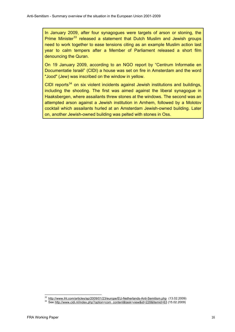In January 2009, after four synagogues were targets of arson or stoning, the Prime Minister<sup>[33](#page-16-0)</sup> released a statement that Dutch Muslim and Jewish groups need to work together to ease tensions citing as an example Muslim action last year to calm tempers after a Member of Parliament released a short film denouncing the Quran.

On 19 January 2009, according to an NGO report by "Centrum Informatie en Documentatie Israël" (CIDI) a house was set on fire in Amsterdam and the word "Jood" (Jew) was inscribed on the window in yellow.

CIDI reports $34$  on six violent incidents against Jewish institutions and buildings, including the shooting. The first was aimed against the liberal synagogue in Haaksbergen, where assailants threw stones at the windows. The second was an attempted arson against a Jewish institution in Arnhem, followed by a Molotov cocktail which assailants hurled at an Amsterdam Jewish-owned building. Later on, another Jewish-owned building was pelted with stones in Oss.

<span id="page-16-1"></span><span id="page-16-0"></span><sup>33</sup> <sup>33</sup> <http://www.iht.com/articles/ap/2009/01/23/europe/EU-Netherlands-Anti-Semitism.php>(13.02.2009)<br><sup>34</sup> [See](http://www.iht.com/articles/ap/2009/01/23/europe/EU-Netherlands-Anti-Semitism.php) [http://www.cidi.nl/index.php?option=com\\_content&task=view&id=228&Itemid=63](http://www.cidi.nl/index.php?option=com_content&task=view&id=228&Itemid=63) (15.02.2009)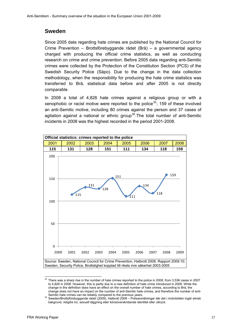#### **Sweden**

Since 2005 data regarding hate crimes are published by the National Council for Crime Prevention *–* Brottsförebyggande rådet (Brå) – a governmental agency charged with producing the official crime statistics, as well as conducting research on crime and crime prevention. Before 2005 data regarding anti-Semitic crimes were collected by the Protection of the Constitution Section (PCS) of the Swedish Security Police (Säpo). Due to the change in the data collection methodology, when the responsibility for producing the hate crime statistics was transferred to Brå, statistical data before and after 2005 is not directly comparable.

In 2008 a total of 4,826 hate crimes against a religious group or with a xenophobic or racist motive were reported to the police<sup>[35](#page-17-1)</sup>; 159 of these involved an anti-Semitic motive, including 80 crimes against the person and 37 cases of agitation against a national or ethnic group<sup>[36](#page-17-2)</sup>. The total number of anti-Semitic incidents in 2008 was the highest recorded in the period 2001-2008.

<span id="page-17-0"></span>

<span id="page-17-1"></span> $35$  There was a sharp rise in the number of hate crimes reported to the police in 2008, from 3,536 cases in 2007 to 4,826 in 2008. However, this is partly due to a new definition of hate crime introduced in 2008. While the change in the definition does have an effect on the overall number of hate crimes, according to Brå, the change does not have an impact on the number of anti-Semitic hate crimes, and therefore the number of anti-Semitic hate crimes can be reliably compared to the previous years.

<span id="page-17-2"></span>Semitic hate crimes can be reliably compared to the previous years. 36 Sweden/Brottsförebyggande rådet (2009), Hatbrott 2008 – Polisanmälningar där det i motivbilden ingår etnisk bakgrund, religiös tro, sexuell läggning eller könsöverskridande identitet eller uttryck.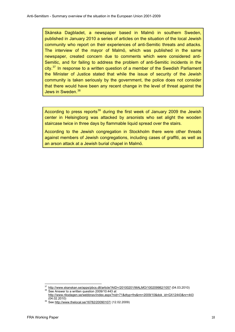Skånska Dagbladet, a newspaper based in Malmö in southern Sweden, published in January 2010 a series of articles on the situation of the local Jewish community who report on their experiences of anti-Semitic threats and attacks. The interview of the mayor of Malmö, which was published in the same newspaper, created concern due to comments which were considered anti-Semitic, and for failing to address the problem of anti-Semitic incidents in the city. $37$  In response to a written question of a member of the Swedish Parliament the Minister of Justice stated that while the issue of security of the Jewish community is taken seriously by the government, the police does not consider that there would have been any recent change in the level of threat against the Jews in Sweden.<sup>[38](#page-18-1)</sup>

According to press reports<sup>[39](#page-18-2)</sup> during the first week of January 2009 the Jewish center in Helsingborg was attacked by arsonists who set alight the wooden staircase twice in three days by flammable liquid spread over the stairs.

According to the Jewish congregation in Stockholm there were other threats against members of Jewish congregations, including cases of graffiti, as well as an arson attack at a Jewish burial chapel in Malmö.

<span id="page-18-0"></span> $\overline{a}$  $\frac{37}{36}$  <http://www.skanskan.se/apps/pbcs.dll/article?AID=/20100201/MALMO/100209982/1057>(04.03.2010) 38 See Answer to a written question 2009/10:443 at

<span id="page-18-1"></span>[http://www.riksdagen.se/webbnav/index.aspx?nid=71&dtyp=frs&rm=2009/10&dok\\_id=GX12443&nr=443](http://www.riksdagen.se/webbnav/index.aspx?nid=71&dtyp=frs&rm=2009/10&dok_id=GX12443&nr=443) (04.[02.2010\)](http://www.thelocal.se/16782/20090107/) 39 See <http://www.thelocal.se/16782/20090107/> (12.02.2009)

<span id="page-18-2"></span>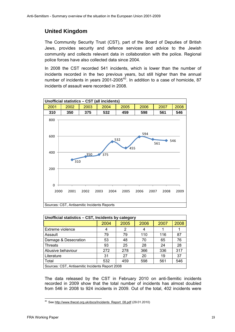# **United Kingdom**

The Community Security Trust (CST), part of the Board of Deputies of British Jews, provides security and defence services and advice to the Jewish community and collects relevant data in collaboration with the police. Regional police forces have also collected data since 2004.

In 2008 the CST recorded 541 incidents, which is lower than the number of incidents recorded in the two previous years, but still higher than the annual number of incidents in years  $2001-2005^{40}$  $2001-2005^{40}$  $2001-2005^{40}$ . In addition to a case of homicide, 87 incidents of assault were recorded in 2008.

<span id="page-19-0"></span>

| Unofficial statistics - CST, Incidents by category |      |      |      |      |      |  |  |  |  |
|----------------------------------------------------|------|------|------|------|------|--|--|--|--|
|                                                    | 2004 | 2005 | 2006 | 2007 | 2008 |  |  |  |  |
| Extreme violence                                   | 4    | 2    | 4    |      |      |  |  |  |  |
| Assault                                            | 79   | 79   | 110  | 116  | 87   |  |  |  |  |
| Damage & Desecration                               | 53   | 48   | 70   | 65   | 76   |  |  |  |  |
| <b>Threats</b>                                     | 93   | 25   | 28   | 24   | 28   |  |  |  |  |
| Abusive behaviour                                  | 272  | 278  | 366  | 336  | 317  |  |  |  |  |
| Literature                                         | 31   | 27   | 20   | 19   | 37   |  |  |  |  |
| Total                                              | 532  | 459  | 598  | 561  | 546  |  |  |  |  |
| Sources: CST, Antisemitic Incidents Report 2008    |      |      |      |      |      |  |  |  |  |

The data released by the CST in February 2010 on anti-Semitic incidents recorded in 2009 show that the total number of incidents has almost doubled from 546 in 2008 to 924 incidents in 2009. Out of the total, 402 incidents were

<span id="page-19-1"></span> $\overline{a}$ <sup>40</sup> See [http://www.thecst.org.uk/docs/Incidents\\_Report\\_08.pdf](http://www.thecst.org.uk/docs/Incidents_Report_08.pdf) (29.01.2010)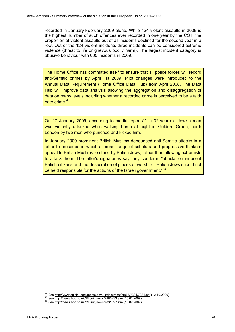recorded in January-February 2009 alone. While 124 violent assaults in 2009 is the highest number of such offences ever recorded in one year by the CST, the proportion of violent assaults out of all incidents declined for the second year in a row. Out of the 124 violent incidents three incidents can be considered extreme violence (threat to life or grievous bodily harm). The largest incident category is abusive behaviour with 605 incidents in 2009.

The Home Office has committed itself to ensure that all police forces will record anti-Semitic crimes by April 1st 2009. Pilot changes were introduced to the Annual Data Requirement (Home Office Data Hub) from April 2008. The Data Hub will improve data analysis allowing the aggregation and disaggregation of data on many levels including whether a recorded crime is perceived to be a faith hate crime.<sup>[41](#page-20-0)</sup>

On 17 January 2009, according to media reports $42$ , a 32-year-old Jewish man was violently attacked while walking home at night in Golders Green, north London by two men who punched and kicked him.

In January 2009 prominent British Muslims denounced anti-Semitic attacks in a letter to mosques in which a broad range of scholars and progressive thinkers appeal to British Muslims to stand by British Jews, rather than allowing extremists to attack them. The letter's signatories say they condemn "attacks on innocent British citizens and the desecration of places of worship... British Jews should not be held responsible for the actions of the Israeli government."<sup>[43](#page-20-2)</sup>

<span id="page-20-0"></span><sup>&</sup>lt;sup>41</sup> See http://www.official-documents.gov.uk/document/cm73/7381/7381.pdf (12.10.2009)

<span id="page-20-2"></span><span id="page-20-1"></span><sup>42</sup> See [http://news.bbc.co.uk/2/hi/uk\\_news/7885233.stm](http://news.bbc.co.uk/2/hi/uk_news/7885233.stm) (15.02.2009) 43 See [http://news.bbc.co.uk/2/hi/uk\\_news/7831897.stm](http://news.bbc.co.uk/2/hi/uk_news/7831897.stm) (15.02.2009)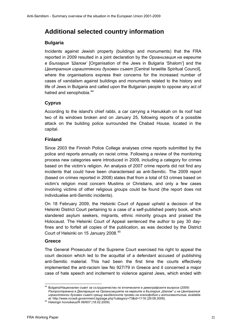# <span id="page-21-0"></span>**Additional selected country information**

#### **Bulgaria**

Incidents against Jewish property (buildings and monuments) that the FRA reported in 2009 resulted in a joint declaration by the *Организация на евреите в България 'Шалом'* [Organisation of the Jews in Bulgaria 'Shalom'] and the *Централния израилтянски духовен съвет* [Central Israelite Spiritual Council], where the organisations express their concerns for the increased number of cases of vandalism against buildings and monuments related to the history and life of Jews in Bulgaria and called upon the Bulgarian people to oppose any act of hatred and xenophobia.<sup>[44](#page-21-1)</sup>

#### **Cyprus**

According to the island's chief rabbi, a car carrying a Hanukkah on its roof had two of its windows broken and on January 25, following reports of a possible attack on the building police surrounded the Chabad House, located in the capital.

#### **Finland**

Since 2003 the Finnish Police College analyses crime reports submitted by the police and reports annually on racist crime. Following a review of the monitoring process new categories were introduced in 2009, including a category for crimes based on the victim's religion. An analysis of 2007 crime reports did not find any incidents that could have been characterised as anti-Semitic. The 2009 report (based on crimes reported in 2008) states that from a total of 53 crimes based on victim's religion most concern Muslims or Christians, and only a few cases involving victims of other religious groups could be found (the report does not individualise anti-Semitic incidents).

On 18 February 2009, the Helsinki Court of Appeal upheld a decision of the Helsinki District Court pertaining to a case of a self-published poetry book, which slandered asylum seekers, migrants, ethnic minority groups and praised the Holocaust. The Helsinki Court of Appeal sentenced the author to pay 30 dayfines and to forfeit all copies of the publication, as was decided by the District Court of Helsinki on 15 January 2008.[45](#page-21-2)

#### **Greece**

The General Prosecutor of the Supreme Court exercised his right to appeal the court decision which led to the acquittal of a defendant accused of publishing anti-Semitic material. This had been the first time the courts effectively implemented the anti-racism law No 927/79 in Greece and it concerned a major case of hate speech and incitement to violence against Jews, which ended with

<span id="page-21-1"></span> $44$ 44 Bulgaria/Национален съвет за сътрудничество по етническите и демографските въпроси (2009) *Разпространена е Декларация на Организацията на евреите в България "Шалом" и на Централния израилтянски духовен съвет срещу вандалските прояви на ксенофобия и антисемитизъм*, available at: <http://www.nccedi.government.bg/page.php?category=73&id=1116> (29.09.2009). 45 He[lsingin hovioikeus/R 08/607 \(18.02.2009\).](http://www.nccedi.government.bg/page.php?category=73&id=1116) 

<span id="page-21-2"></span>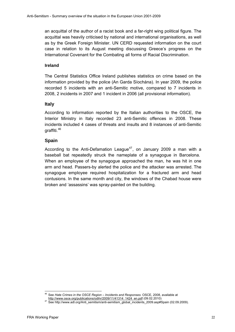an acquittal of the author of a racist book and a far-right wing political figure. The acquittal was heavily criticised by national and international organisations, as well as by the Greek Foreign Minister. UN CERD requested information on the court case in relation to its August meeting discussing Greece's progress on the International Covenant for the Combating all forms of Racial Discrimination.

#### **Ireland**

The Central Statistics Office Ireland publishes statistics on crime based on the information provided by the police (An Garda Síochána). In year 2009, the police recorded 5 incidents with an anti-Semitic motive, compared to 7 incidents in 2008, 2 incidents in 2007 and 1 incident in 2006 (all provisional information).

#### **Italy**

According to information reported by the Italian authorities to the OSCE, the Interior Ministry in Italy recorded 23 anti-Semitic offences in 2008. These incidents included 4 cases of threats and insults and 8 instances of anti-Semitic graffiti.[46](#page-22-0)

#### **Spain**

According to the Anti-Defamation League<sup>[47](#page-22-1)</sup>, on January 2009 a man with a baseball bat repeatedly struck the nameplate of a synagogue in Barcelona. When an employee of the synagogue approached the man, he was hit in one arm and head. Passers-by alerted the police and the attacker was arrested. The synagogue employee required hospitalization for a fractured arm and head contusions. In the same month and city, the windows of the Chabad house were broken and 'assassins' was spray-painted on the building.

l 46 See *Hate Crimes in the OSCE Region – Incidents and Responses*. OSCE, 2008, available at

<span id="page-22-1"></span><span id="page-22-0"></span>

[http://www.osce.org/publications/odihr/2009/11/41314\\_1424\\_en.pdf](http://www.osce.org/publications/odihr/2009/11/41314_1424_en.pdf) (09.02.2010)<br><sup>47</sup> [See](http://www.osce.org/publications/odihr/2009/11/41314_1424_en.pdf) [http://www.adl.org/Anti\\_semitism/anti-semitism\\_global\\_incidents\\_2009.asp#Spain](http://www.adl.org/Anti_semitism/anti-semitism_global_incidents_2009.asp#Spain) (02.09.2009).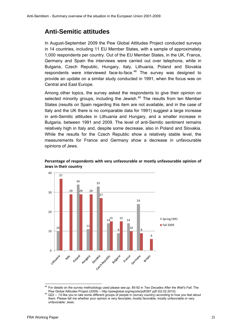# <span id="page-23-0"></span>**Anti-Semitic attitudes**

In August-September 2009 the Pew Global Attitudes Project conducted surveys in 14 countries, including 11 EU Member States, with a sample of approximately 1,000 respondents per country. Out of the EU Member States, in the UK, France, Germany and Spain the interviews were carried out over telephone, while in Bulgaria, Czech Republic, Hungary, Italy, Lithuania, Poland and Slovakia respondents were interviewed face-to-face. $48$  The survey was designed to provide an update on a similar study conducted in 1991, when the focus was on Central and East Europe.

Among other topics, the survey asked the respondents to give their opinion on selected minority groups, including the Jewish.<sup>[49](#page-23-2)</sup> The results from ten Member States (results on Spain regarding this item are not available, and in the case of Italy and the UK there is no comparable data for 1991) suggest a large increase in anti-Semitic attitudes in Lithuania and Hungary, and a smaller increase in Bulgaria, between 1991 and 2009. The level of anti-Semitic sentiment remains relatively high in Italy and, despite some decrease, also in Poland and Slovakia. While the results for the Czech Republic show a relatively stable level, the measurements for France and Germany show a decrease in unfavourable opinions of Jews.



#### **Percentage of respondents with very unfavourable or mostly unfavourable opinion of Jews in their country**

<span id="page-23-1"></span> $\overline{a}$ 48 For details on the survey methodology used please see pp. 85-92 in *Two Decades After the Wall's Fall*, The

<span id="page-23-2"></span>Perm Cloud Attitudes Project (2009) – http://pewglobal.org/reports/pures/particles/pdf/267.pdf<br>49 Q22 – I'd like you to rate some different groups of people in (survey country) according to how you feel about them. Please tell me whether your opinion is very favorable, mostly favorable, mostly unfavorable or very unfavorable: Jews.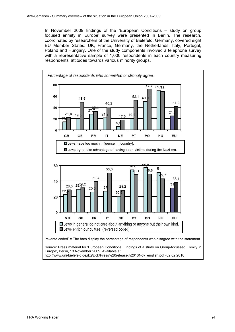In November 2009 findings of the 'European Conditions – study on group focused enmity in Europe' survey were presented in Berlin. The research, coordinated by researchers of the University of Bielefeld, Germany, covered eight EU Member States: UK, France, Germany, the Netherlands, Italy, Portugal, Poland and Hungary. One of the study components involved a telephone survey with a representative sample of 1,000 respondents in each country measuring respondents' attitudes towards various minority groups.

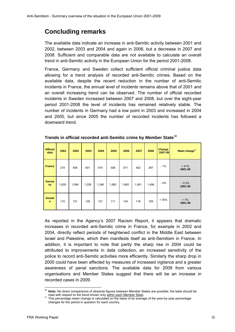# <span id="page-25-0"></span>**Concluding remarks**

The available data indicate an increase in anti-Semitic activity between 2001 and 2002, between 2003 and 2004 and again in 2006, but a decrease in 2007 and 2008. Sufficient and comparable data are not available to calculate an overall trend in anti-Semitic activity in the European Union for the period 2001-2008.

France, Germany and Sweden collect sufficient official criminal justice data allowing for a trend analysis of recorded anti-Semitic crimes. Based on the available data, despite the recent reduction in the number of anti-Semitic incidents in France, the annual level of incidents remains above that of 2001 and an overall increasing trend can be observed. The number of official recorded incidents in Sweden increased between 2007 and 2008, but over the eight-year period 2001-2008 the level of incidents has remained relatively stable. The number of incidents in Germany had a low point in 2003 and increased in 2004 and 2005, but since 2005 the number of recorded incidents has followed a downward trend.

| <b>Official</b><br>data     | 2001  | 2002  | 2003  | 2004  | 2005  | 2006  | 2007  | 2008  | <b>Change</b><br>2007-08 | Mean change <sup>51</sup> |
|-----------------------------|-------|-------|-------|-------|-------|-------|-------|-------|--------------------------|---------------------------|
| <b>France</b>               | 219   | 936   | 601   | 974   | 508   | 571   | 402   | 397   | $-1%$                    | $+41%$<br>2001-08         |
| <b>Germa</b><br>ny          | 1,629 | 1,594 | 1,226 | 1,346 | 1,682 | 1,662 | 1,561 | 1,496 | $-4%$                    | $-0.3%$<br>2001-08        |
| <b>Swede</b><br>$\mathbf n$ | 115   | 131   | 128   | 151   | 111   | 134   | 118   | 159   | $+35%$                   | $+7%$<br>2001-08          |

**Trends in official recorded anti-Semitic crime by Member State**[50](#page-25-1)

As reported in the Agency's 2007 Racism Report, it appears that dramatic increases in recorded anti-Semitic crime in France, for example in 2002 and 2004, directly reflect periods of heightened conflict in the Middle East between Israel and Palestine, which then manifests itself as anti-Semitism in France. In addition, it is important to note that partly the sharp rise in 2004 could be attributed to improvements in data collection, an increased sensitivity of the police to record anti-Semitic activities more efficiently. Similarly the sharp drop in 2005 could have been affected by measures of increased vigilance and a greater awareness of penal sanctions. The available data for 2009 from various organisations and Member States suggest that there will be an increase in recorded cases in 2009.

<span id="page-25-1"></span>l Note: No direct comparisons of absolute figures between Member States are possible; the table should be read with respect to the trend shown only within each Member State.

<span id="page-25-2"></span><sup>&</sup>lt;sup>51</sup> This percentage mean change is calculated on the basis of an average of the year-by-year percentage changes for the period in question for each country.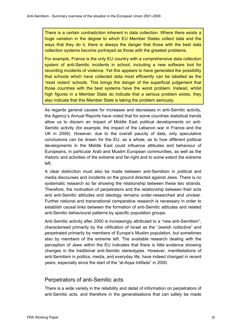There is a certain contradiction inherent in data collection: Where there exists a huge variation in the degree to which EU Member States collect data and the ways that they do it, there is always the danger that those with the best data collection systems become portrayed as those with the greatest problems.

For example, France is the only EU country with a comprehensive data collection system of anti-Semitic incidents in school, including a new software tool for recording incidents of violence. Yet this appears to have generated the possibility that schools which have collected data most efficiently can be labelled as the 'most violent' schools. This brings the danger of the superficial judgement that those countries with the best systems have the worst problem. Instead, whilst high figures in a Member State do indicate that a serious problem exists, they also indicate that this Member State is taking the problem seriously.

As regards general causes for increases and decreases in anti-Semitic activity, the Agency's Annual Reports have noted that for some countries statistical trends allow us to discern an impact of Middle East political developments on anti-Semitic activity (for example, the impact of the Lebanon war in France and the UK in 2006). However, due to the overall paucity of data, only speculative conclusions can be drawn for the EU, as a whole, as to how different political developments in the Middle East could influence attitudes and behaviour of Europeans, in particular Arab and Muslim European communities, as well as the rhetoric and activities of the extreme and far-right and to some extent the extreme left.

A clear distinction must also be made between anti-Semitism in political and media discourses and incidents on the ground directed against Jews. There is no systematic research so far showing the relationship between these two strands. Therefore, the motivation of perpetrators and the relationship between their acts and anti-Semitic attitudes and ideology remains under-researched and unclear. Further national and transnational comparative research is necessary in order to establish causal links between the formation of anti-Semitic attitudes and related anti-Semitic behavioural patterns by specific population groups.

Anti-Semitic activity after 2000 is increasingly attributed to a "new anti-Semitism", characterised primarily by the vilification of Israel as the "Jewish collective" and perpetrated primarily by members of Europe's Muslim population, but sometimes also by members of the extreme left. The available research dealing with the perception of Jews within the EU indicates that there is little evidence showing changes in the traditional anti-Semitic stereotypes. However, manifestations of anti-Semitism in politics, media, and everyday life, have indeed changed in recent years, especially since the start of the "al-Aqsa Intifada" in 2000.

#### Perpetrators of anti-Semitic acts

There is a wide variety in the reliability and detail of information on perpetrators of anti-Semitic acts, and therefore in the generalisations that can safely be made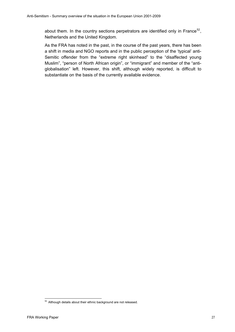about them. In the country sections perpetrators are identified only in France<sup>[52](#page-27-0)</sup>, Netherlands and the United Kingdom.

As the FRA has noted in the past, in the course of the past years, there has been a shift in media and NGO reports and in the public perception of the 'typical' anti-Semitic offender from the "extreme right skinhead" to the "disaffected young Muslim", "person of North African origin", or "immigrant" and member of the "antiglobalisation" left. However, this shift, although widely reported, is difficult to substantiate on the basis of the currently available evidence.

<span id="page-27-0"></span> $\overline{a}$  $52$  Although details about their ethnic background are not released.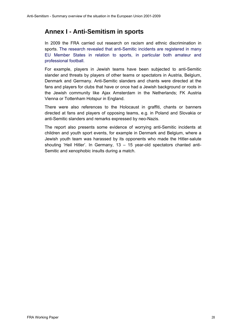# <span id="page-28-0"></span>**Annex I - Anti-Semitism in sports**

In 2009 the FRA carried out research on racism and ethnic discrimination in sports. The research revealed that anti-Semitic incidents are registered in many EU Member States in relation to sports, in particular both amateur and professional football.

For example, players in Jewish teams have been subjected to anti-Semitic slander and threats by players of other teams or spectators in Austria, Belgium, Denmark and Germany. Anti-Semitic slanders and chants were directed at the fans and players for clubs that have or once had a Jewish background or roots in the Jewish community like Ajax Amsterdam in the Netherlands; FK Austria Vienna or Tottenham Hotspur in England.

There were also references to the Holocaust in graffiti, chants or banners directed at fans and players of opposing teams, e.g. in Poland and Slovakia or anti-Semitic slanders and remarks expressed by neo-Nazis.

The report also presents some evidence of worrying anti-Semitic incidents at children and youth sport events, for example in Denmark and Belgium, where a Jewish youth team was harassed by its opponents who made the Hitler-salute shouting 'Heil Hitler'. In Germany, 13 – 15 year-old spectators chanted anti-Semitic and xenophobic insults during a match.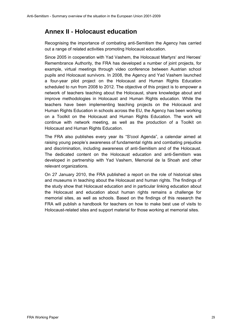# <span id="page-29-0"></span>**Annex II - Holocaust education**

Recognising the importance of combating anti-Semitism the Agency has carried out a range of related activities promoting Holocaust education.

Since 2005 in cooperation with Yad Vashem, the Holocaust Martyrs' and Heroes' Remembrance Authority, the FRA has developed a number of joint projects, for example, virtual meetings through video conference between Austrian school pupils and Holocaust survivors. In 2008, the Agency and Yad Vashem launched a four-year pilot project on the Holocaust and Human Rights Education scheduled to run from 2008 to 2012. The objective of this project is to empower a network of teachers teaching about the Holocaust, share knowledge about and improve methodologies in Holocaust and Human Rights education. While the teachers have been implementing teaching projects on the Holocaust and Human Rights Education in schools across the EU, the Agency has been working on a Toolkit on the Holocaust and Human Rights Education. The work will continue with network meeting, as well as the production of a Toolkit on Holocaust and Human Rights Education.

The FRA also publishes every year its "S'cool Agenda", a calendar aimed at raising young people's awareness of fundamental rights and combating prejudice and discrimination, including awareness of anti-Semitism and of the Holocaust. The dedicated content on the Holocaust education and anti-Semitism was developed in partnership with Yad Vashem, Memorial de la Shoah and other relevant organizations.

On 27 January 2010, the FRA published a report on the role of historical sites and museums in teaching about the Holocaust and human rights. The findings of the study show that Holocaust education and in particular linking education about the Holocaust and education about human rights remains a challenge for memorial sites, as well as schools. Based on the findings of this research the FRA will publish a handbook for teachers on how to make best use of visits to Holocaust-related sites and support material for those working at memorial sites.